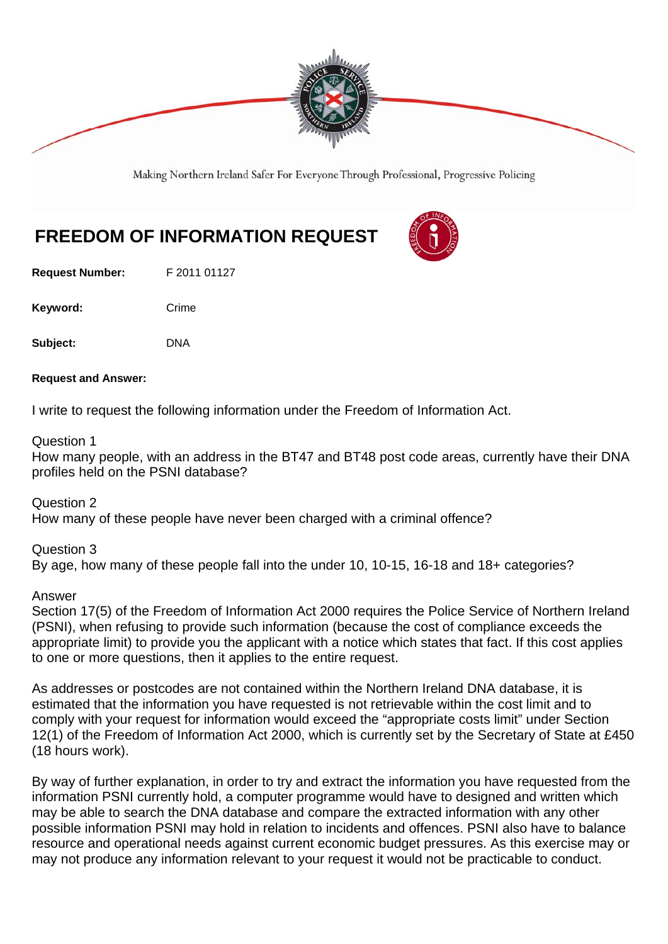

Making Northern Ireland Safer For Everyone Through Professional, Progressive Policing

## **FREEDOM OF INFORMATION REQUEST**

**Request Number:** F 2011 01127

Keyword: Crime

Subject: DNA

**Request and Answer:** 

I write to request the following information under the Freedom of Information Act.

## Question 1

How many people, with an address in the BT47 and BT48 post code areas, currently have their DNA profiles held on the PSNI database?

Question 2 How many of these people have never been charged with a criminal offence?

Question 3 By age, how many of these people fall into the under 10, 10-15, 16-18 and 18+ categories?

Answer

Section 17(5) of the Freedom of Information Act 2000 requires the Police Service of Northern Ireland (PSNI), when refusing to provide such information (because the cost of compliance exceeds the appropriate limit) to provide you the applicant with a notice which states that fact. If this cost applies to one or more questions, then it applies to the entire request.

As addresses or postcodes are not contained within the Northern Ireland DNA database, it is estimated that the information you have requested is not retrievable within the cost limit and to comply with your request for information would exceed the "appropriate costs limit" under Section 12(1) of the Freedom of Information Act 2000, which is currently set by the Secretary of State at £450 (18 hours work).

By way of further explanation, in order to try and extract the information you have requested from the information PSNI currently hold, a computer programme would have to designed and written which may be able to search the DNA database and compare the extracted information with any other possible information PSNI may hold in relation to incidents and offences. PSNI also have to balance resource and operational needs against current economic budget pressures. As this exercise may or may not produce any information relevant to your request it would not be practicable to conduct.